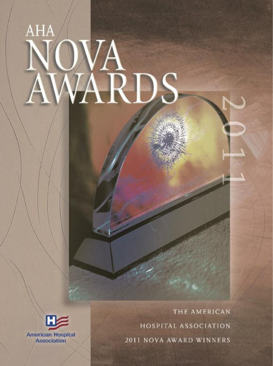# AHA ARDS



THE AMERICAN HOSPITAL ASSOCIATION 2011 NOVA AWARD WINNERS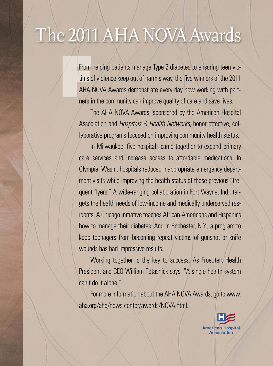## The 2011AHA NOVA Awards

From helping patients manage Type 2 diabetes to ensuring teen victims of violence keep out of harm's way, the five winners of the 2011 AHA NOVA Awards demonstrate every day how working with partners in the community can improve quality of care and save lives.

The AHA NOVA Awards, sponsored by the American Hospital Association and Hospitals & Health Networks, honor effective, collaborative programs focused on improving community health status.

In Milwaukee, five hospitals came together to expand primary care services and increase access to affordable medications. In Olympia, Wash., hospitals reduced inappropriate emergency department visits while improving the health status of those previous "frequent flyers." A wide-ranging collaboration in Fort Wayne, Ind., targets the health needs of low-income and medically underserved residents. A Chicago initiative teaches African-Americans and Hispanics how to manage their diabetes. And in Rochester, N.Y., a program to keep teenagers from becoming repeat victims of gunshot or knife wounds has had impressive results.

Working together is the key to success. As Froedtert Health President and CEO William Petasnick says, "A single health system can't do it alone."

For more information about the AHA NOVA Awards, go to www. aha.org/aha/news-center/awards/NOVA.html.

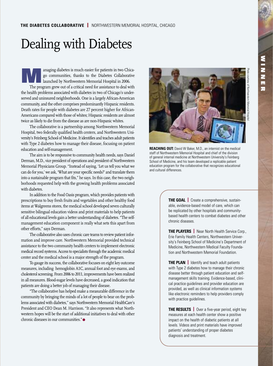## Dealing with Diabetes

anaging diabetes is much easier for patients in two Chicago communities, thanks to the Diabetes Collaborative launched by Northwestern Memorial Hospital in 2006. The program grew out of a critical need for assistance to deal with the health problems associated with diabetes in two of Chicago's underserved and uninsured neighborhoods. One is a largely African-American community, and the other comprises predominantly Hispanic residents. Death rates for people with diabetes are 27 percent higher for African-Americans compared with those of whites; Hispanic residents are almost twice as likely to die from the disease as are non-Hispanic whites.

The collaborative is a partnership among Northwestern Memorial Hospital, two federally qualified health centers, and Northwestern University's Feinberg School of Medicine. It identifies and teaches adult patients with Type 2 diabetes how to manage their disease, focusing on patient education and self-management.

The aim is to be responsive to community health needs, says Daniel Derman, M.D., vice president of operations and president of Northwestern Memorial Physicians Group. "Instead of saying, 'Let us tell you what we can do for you,' we ask, 'What are your specific needs?' and translate them into a sustainable program that fits," he says. In this case, the two neighborhoods requested help with the growing health problems associated with diabetes.

In addition to the Food Oasis program, which provides patients with prescriptions to buy fresh fruits and vegetables and other healthy food items at Walgreens stores, the medical school developed seven culturally sensitive bilingual education videos and print materials to help patients of all educational levels gain a better understanding of diabetes. "The selfmanagement education component is really what sets this apart from other efforts," says Derman.

The collaborative also uses chronic care teams to review patient information and improve care. Northwestern Memorial provided technical assistance to the two community health centers to implement electronic medical record systems. Access to specialists through the academic medical center and the medical school is a major strength of the program.

To gauge its success, the collaborative focuses on eight key outcome measures, including hemoglobin A1C, annual foot and eye exams, and cholesterol screening. From 2006 to 2011, improvements have been realized in all measures. Blood-sugar levels have decreased, a good indication that patients are doing a better job of managing their disease.

"The collaborative has helped make a measurable difference in the community by bringing the minds of a lot of people to bear on the problems associated with diabetes,'' says Northwestern Memorial HealthCare's President and CEO Dean M. Harrison. "It also represents what Northwestern hopes will be the start of additional initiatives to deal with other chronic diseases in our communities." $\bullet$ 



**REACHING OUT:** David W Baker, M.D., an internist on the medical staff of Northwestern Memorial Hospital and chief of the division of general internal medicine at Northwestern University's Feinberg School of Medicine, and his team developed a replicable patient education program for the collaborative that recognizes educational and cultural differences.

> **THE GOAL** | Create a comprehensive, sustainable, evidence-based model of care, which can be replicated by other hospitals and communitybased health centers to combat diabetes and other chronic diseases.

**THE PLAYERS** | Near North Health Service Corp., Erie Family Health Centers, Northwestern University's Feinberg School of Medicine's Department of Medicine, Northwestern Medical Faculty Foundation and Northwestern Memorial Foundation.

**THE PLAN** | Identify and teach adult patients with Type 2 diabetes how to manage their chronic disease better through patient education and selfmanagement skills training. Evidence-based, clinical practice guidelines and provider education are provided, as well as clinical information systems like electronic reminders to help providers comply with practice guidelines.

**THE RESULTS** | Over a five-year period, eight key measures at each health center show a positive impact on the health of diabetic patients at all levels. Videos and print materials have improved patients' understanding of proper diabetes diagnosis and treatment.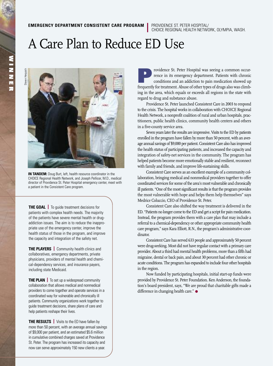CHOICE REGIONAL HEALTH NETWORK, OLYMPIA, WASH.

#### A Care Plan to Reduce ED Use



**IN TANDEM:** Doug Burt, left, health resource coordinator in the CHOICE Regional Health Network, and Joseph Pellicer, M.D., medical director of Providence St. Peter Hospital emergency center, meet with a patient in the Consistent Care program.

**THE GOAL** | To guide treatment decisions for patients with complex health needs. The majority of the patients have severe mental health or drugaddiction issues. The aim is to reduce the inappropriate use of the emergency center, improve the health status of those in the program, and improve the capacity and integration of the safety net.

**THE PLAYERS** | Community health clinics and collaboratives, emergency departments, private physicians, providers of mental health and chemical-dependency services, and insurance payers, including state Medicaid.

**THE PLAN** | To set up a widespread community collaboration that allows medical and nonmedical providers to come together and operate services in a coordinated way for vulnerable and chronically ill patients. Community organizations work together to guide treatment decisions, share plans of care and help patients reshape their lives.

**THE RESULTS** | Visits to the ED have fallen by more than 50 percent, with an average annual savings of \$9,000 per patient, and an estimated \$5.6 million in cumulative combined charges saved at Providence St. Peter. The program has increased its capacity and now can serve approximately 150 new clients a year.

rovidence St. Peter Hospital was seeing a common occurrence in its emergency department. Patients with chronic conditions and an addiction to pain medication showed up frequently for treatment. Abuse of other types of drugs also was climbing in the area, which equals or exceeds all regions in the state with regard to drug and substance abuse.

Providence St. Peter launched Consistent Care in 2003 to respond to the crisis. The hospital works in collaboration with CHOICE Regional Health Network, a nonprofit coalition of rural and urban hospitals, practitioners, public health clinics, community health centers and others in a five-county service area.

Seven years later the results are impressive. Visits to the ED by patients enrolled in the program have fallen by more than 50 percent, with an average annual savings of \$9,000 per patient.ConsistentCare also has improved the health status of participating patients, and increased the capacity and integration of safety-net services in the community. The program has helped patients become more emotionally stable and resilient, reconnect with family and friends, and improve life-sustaining skills.

Consistent Care serves as an excellent example of a community collaboration, bringing medical and nonmedical providers together to offer coordinated services for some of the area's most vulnerable and chronically ill patients. "One of the most significant results is that the program provides the most vulnerable with hope and helps them help themselves" says Medrice Coluccio, CEO of Providence St. Peter.

Consistent Care also shifted the way treatment is delivered in the ED. "Patients no longer come to the ED and get a script for pain medication. Instead, the program provides them with a care plan that may include a referral to a chemical-dependency or other appropriate community health care program," says Kara Elliott, R.N., the program's administrative coordinator.

Consistent Care has served 633 people and approximately 50 percent were drug-seeking. Most did not have regular contact with a primary care provider. About a third had mental health problems, more than a fifth had migraine, dental or back pain, and about 30 percent had other chronic or acute conditions. The program has expanded to include four other hospitals in the region.

Now funded by participating hospitals, initial start-up funds were provided by Providence St. Peter Foundation. Ken Anderson, the foundation's board president, says, "We are proud that charitable gifts made a difference in changing health care." ●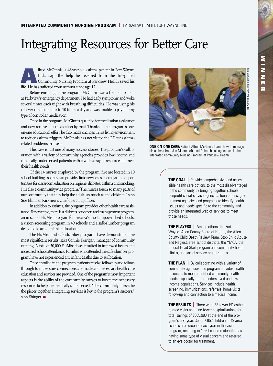## Integrating Resources for Better Care

Alfred McGinnis, a 48-year-old asthma patient in Fort Wayne,<br>
Ind., says the help he received from the Integrated<br>
Community Nursing Program at Parkview Health saved his<br>
Life Makes officed from the saved his Ind., says the help he received from the Integrated life. He has suffered from asthma since age 12.

Before enrolling in the program, McGinnis was a frequent patient at Parkview's emergency department. He had daily symptoms and woke several times each night with breathing difficulties. He was using his reliever medicine four to 10 times a day and was unable to pay for any type of controller medication.

Once in the program, McGinnis qualified for medication assistance and now receives his medication by mail. Thanks to the program's oneon-one educational effort, he also made changes in his living environment to reduce asthma triggers. McGinnis has not visited the ED for asthmarelated problems in a year.

This case is just one of many success stories. The program's collaboration with a variety of community agencies provides low-income and medically underserved patients with a wide array of resources to meet their health needs.

Of the 14 nurses employed by the program, five are located in 10 school buildings so they can provide clinic services, screenings and opportunities for classroom education on hygiene, diabetes, asthma and smoking. It is also a communitywide program."The nurses touch so many parts of our community that they help the adults as much as the children," says Sue Ehinger, Parkview's chief operating officer.

In addition to asthma, the program provides other health care assistance. For example, there is a diabetes education and management program, an in-school FluMist program for the area's most impoverished schools, a vision-screening program in 49 schools and a safe-slumber program designed to avoid infant suffocation.

The FluMist and safe-slumber programs have demonstrated the most significant results, says Connie Kerrigan, manager of community nursing. A total of 30,000 FluMist doses resulted in improved health and increased school attendance. Families who attended the safe-slumber program have not experienced any infant deaths due to suffocation.

Once enrolled in the program, patients receive follow-up and followthrough to make sure connections are made and necessary health care education and services are provided. One of the program's most important aspects is the ability of the community nurses to locate the necessary resources to help the medically underserved. "The community nurses tie the pieces together. Integrating services is key to the program's success," says Ehinger. •



**ONE-ON-ONE CARE:** Patient Alfred McGinnis learns how to manage his asthma from Jan Moore, left, and Deborah Lulling, nurses in the Integrated Community Nursing Program at Parkview Health.

**THE GOAL** | Provide comprehensive and accessible health care options to the most disadvantaged in the community by bringing together schools, nonprofit social-service agencies, foundations, government agencies and programs to identify health issues and needs specific to the community and provide an integrated web of services to meet those needs.

**THE PLAYERS** | Among others, the Fort Wayne–Allen County Board of Health, the Allen County Child Death Review Team, Stop Child Abuse and Neglect, area school districts, the YMCA, the federal Head Start program and community health clinics, and social service organizations.

**THE PLAN** | By collaborating with a variety of community agencies, the program provides health resources to meet identified community health needs, especially for the underserved and lowincome populations. Services include health screening, immunizations, referrals, home visits, follow-up and connection to a medical home.

**THE RESULTS** | There were 38 fewer ED asthmarelated visits and nine fewer hospitalizations for a total savings of \$605,980 at the end of the program's first year. Some 7,852 children in 49 area schools are screened each year in the vision program, resulting in 1,261 children identified as having some type of visual concern and referred to an eye doctor for treatment.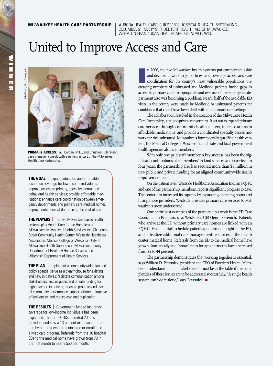**MILWAUKEE HEALTH CARE PARTNERSHIP I** AURORA HEALTH CARE, CHILDREN'S HOSPITAL & HEALTH SYSTEM INC., COLUMBIA ST. MARY'S, FROEDTERT HEALTH, ALL OF MILWAUKEE; WHEATON FRANCISCAN HEALTHCARE, GLENDALE, WIS.

#### United to Improve Access and Care



**PRIMARY ACCESS:** Paul Corgan, M.D., and Christine Hutchinson, case manager, consult with a patient as part of the Milwaukee Health Care Partnership.

**THE GOAL** | Expand adequate and affordable insurance coverage for low-income individuals; improve access to primary, specialty, dental and behavioral health services; provide affordable medications; enhance care coordination between emergency departments and primary care medical homes; improve outcomes while reducing the cost of care.

**THE PLAYERS** The five Milwaukee-based health systems plus Health Care for the Homeless of Milwaukee, Milwaukee Health Services Inc., Sixteenth Street Community Health Center, Westside Healthcare Association, Medical College of Wisconsin, City of Milwaukee Health Department, Milwaukee County Department of Health & Human Services and Wisconsin Department of Health Services.

**THE PLAN** | Implement a communitywide plan and policy agenda; serve as a clearinghouse for existing and new initiatives; facilitate communication among stakeholders; secure public and private funding for high-leverage initiatives; measure progress and overall community performance; support efforts to improve effectiveness; and reduce cost and duplication.

**THE RESULTS** | Government-funded insurance coverage for low-income individuals has been expanded. The four FQHCs recruited 20 new providers and saw a 13 percent increase in utilization by patients who are uninsured or enrolled in a Medicaid program. Referrals from the 10 hospital EDs to the medical home have grown from 78 in the first month to nearly 550 per month.

n 2006, the five Milwaukee health systems put competition aside and decided to work together to expand coverage, access and care coordination for the county's most vulnerable populations. Increasing numbers of uninsured an n 2006, the five Milwaukee health systems put competition aside and decided to work together to expand coverage, access and care coordination for the county's most vulnerable populations. Inaccess to primary care. Inappropriate and overuse of the emergency department also was becoming a problem. Nearly half of the avoidable ED visits in the county were made by Medicaid or uninsured patients for conditions that could have been dealt with in a primary care setting.

The collaboration resulted in the creation of the Milwaukee Health Care Partnership, a public-private consortium. It set out to expand primary care services through community health centers, increase access to affordable medications, and provide a coordinated specialty access network for the uninsured. Milwaukee's four federally qualified health centers, the Medical College of Wisconsin, and state and local government health agencies also are members.

With only one paid staff member, a key success has been the significant contributions of its members' in-kind services and expertise. In four years, the partnership also has secured more than \$8 million in new public and private funding for an aligned communitywide health improvement plan.

On the patient level, Westside Healthcare Association Inc., an FQHC and one of the partnership members, reports significant progress to date. The center has increased its capacity by expanding operating hours and hiring more providers. Westside provides primary care services to Milwaukee's most underserved.

One of the best examples of the partnership's work is the ED Care Coordination Program, says Westside's CEO Jenni Sevenich. Patients who arrive at the ED without primary care homes are linked with an FQHC. Hospital staff schedule patient appointments right in the ED, and subsidize additional case-management resources at the health center medical home. Referrals from the ED to the medical home have grown dramatically and "show" rates for appointments have increased from 25 to 44 percent.

The partnership demonstrates that working together is essential, says William D. Petasnick, president and CEO of Froedtert Health. Members understand that all stakeholders must be at the table if the complexities of these issues are to be addressed successfully. "A single health system can't do it alone," says Petasnick.  $\bullet$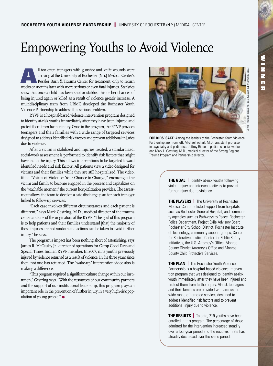#### Empowering Youths to Avoid Violence

II too often teenagers with gunshot and knife wounds were<br>arriving at the University of Rochester (N.Y.) Medical Center's<br>Kessler Burn & Trauma Center for treatment, only to return<br>the seconds between the burning of the li arriving at the University of Rochester(N.Y.) Medical Center's Kessler Burn & Trauma Center for treatment, only to return weeks or months later with more serious or even fatal injuries. Statistics show that once a child has been shot or stabbed, his or her chances of being injured again or killed as a result of violence greatly increase. A multidisciplinary team from URMC developed the Rochester Youth Violence Partnership to address this serious problem.

RYVP is a hospital-based violence intervention program designed to identify at-risk youths immediately after they have been injured and protect them from further injury. Once in the program, the RYVP provides teenagers and their families with a wide range of targeted services designed to address identified risk factors and prevent additional injuries due to violence.

After a victim is stabilized and injuries treated, a standardized, social-work assessment is performed to identify risk factors that might have led to the injury. This allows interventions to be targeted toward identified needs and risk factors. All patients view a video designed for victims and their families while they are still hospitalized. The video, titled "Voices of Violence: Your Chance to Change," encourages the victim and family to become engaged in the process and capitalizes on the "teachable moment" the current hospitalization provides. The assessment allows the team to develop a safe discharge plan for each teenager linked to follow-up services.

"Each case involves different circumstances and each patient is different," says Mark Gestring, M.D., medical director of the trauma center and one of the originators of the RYVP. "The goal of this program is to help patients and their families understand [that] the majority of these injuries are not random and actions can be taken to avoid further injury," he says.

The program's impact has been nothing short of astonishing, says James R. McCauley Jr., director of operations for Camp Good Days and Special Times Inc., an RYVP member. In 2007, nine youths previously injured by violence returned as a result of violence.In the three years since then, not one has returned. The "wake-up" intervention video also is making a difference.

"This program required a significant culture change within ourinstitution," Gestring says. "With the resources of our community partners and the support of our institutional leadership, this program plays an important role in the prevention of further injury in a very high-risk population of young people." ●



**FOR KIDS' SAKE:** Among the leaders of the Rochester Youth Violence Partnership are, from left: Michael Scharf, M.D., assistant professor in psychiatry and pediatrics; Jeffrey Rideout, pediatric social worker; and Mark L. Gestring, M.D., medical director of the Strong Regional Trauma Program and Partnership director.

**THE GOAL** | Identify at-risk youths following violent injury and intervene actively to prevent further injury due to violence.

**THE PLAYERS** The University of Rochester Medical Center enlisted support from hospitals such as Rochester General Hospital, and community agencies such as Pathways to Peace, Rochester Police Department, Project Exile Advisory Board, Rochester City School District, Rochester Institute of Technology, community support groups, Center for Restorative Justice, Center for Public Safety Initiatives, the U.S. Attorney's Office, Monroe County District Attorney's Office and Monroe County Child Protective Services.

**THE PLAN** | The Rochester Youth Violence Partnership is a hospital-based violence intervention program that was designed to identify at-risk youth immediately after they have been injured and protect them from further injury. At-risk teenagers and their families are provided with access to a wide range of targeted services designed to address identified risk factors and to prevent additional injury due to violence.

**THE RESULTS** | To date, 219 youths have been enrolled in this program. The percentage of those admitted for the intervention increased steadily over a four-year period and the recidivism rate has steadily decreased over the same period.